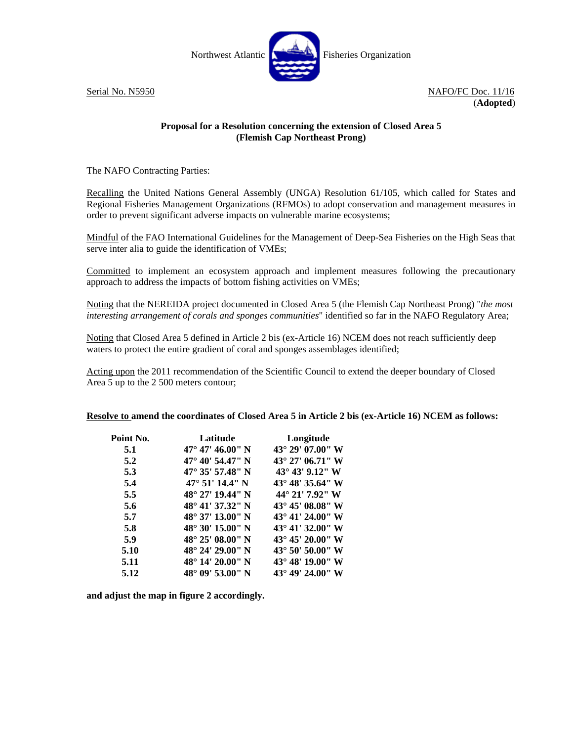

Serial No. N5950 NAFO/FC Doc. 11/16 (**Adopted**)

## **Proposal for a Resolution concerning the extension of Closed Area 5 (Flemish Cap Northeast Prong)**

The NAFO Contracting Parties:

Recalling the United Nations General Assembly (UNGA) Resolution 61/105, which called for States and Regional Fisheries Management Organizations (RFMOs) to adopt conservation and management measures in order to prevent significant adverse impacts on vulnerable marine ecosystems;

Mindful of the FAO International Guidelines for the Management of Deep-Sea Fisheries on the High Seas that serve inter alia to guide the identification of VMEs;

Committed to implement an ecosystem approach and implement measures following the precautionary approach to address the impacts of bottom fishing activities on VMEs;

Noting that the NEREIDA project documented in Closed Area 5 (the Flemish Cap Northeast Prong) "*the most interesting arrangement of corals and sponges communities*" identified so far in the NAFO Regulatory Area;

Noting that Closed Area 5 defined in Article 2 bis (ex-Article 16) NCEM does not reach sufficiently deep waters to protect the entire gradient of coral and sponges assemblages identified;

Acting upon the 2011 recommendation of the Scientific Council to extend the deeper boundary of Closed Area 5 up to the 2 500 meters contour;

## **Resolve to amend the coordinates of Closed Area 5 in Article 2 bis (ex-Article 16) NCEM as follows:**

| Point No. | <b>Latitude</b>           | Longitude                  |
|-----------|---------------------------|----------------------------|
| 5.1       | $47^{\circ}$ 47' 46.00" N | $43^{\circ}$ 29' 07.00" W  |
| 5.2       | 47° 40′ 54.47″ N          | $43^{\circ}$ 27' 06.71" W  |
| 5.3       | $47^{\circ}$ 35' 57.48" N | 43° 43′ 9.12″ W            |
| 5.4       | $47^{\circ}$ 51' 14.4" N  | $43^{\circ} 48' 35.64'' W$ |
| 5.5       | 48° 27′ 19.44″ N          | 44° 21′ 7.92″ W            |
| 5.6       | $48^{\circ}$ 41' 37.32" N | $43^{\circ} 45' 08.08'' W$ |
| 5.7       | 48° 37' 13.00" N          | $43^{\circ}$ 41' 24.00" W  |
| 5.8       | 48° 30′ 15.00″ N          | $43^{\circ}$ 41' 32.00" W  |
| 5.9       | 48° 25′ 08.00″ N          | $43^{\circ}$ 45' 20.00" W  |
| 5.10      | $48^{\circ}$ 24' 29.00" N | $43^{\circ} 50' 50.00'' W$ |
| 5.11      | 48° 14′ 20.00″ N          | $43^{\circ} 48' 19.00'' W$ |
| 5.12      | 48° 09′ 53.00″ N          | 43° 49′ 24.00″ W           |

**and adjust the map in figure 2 accordingly.**